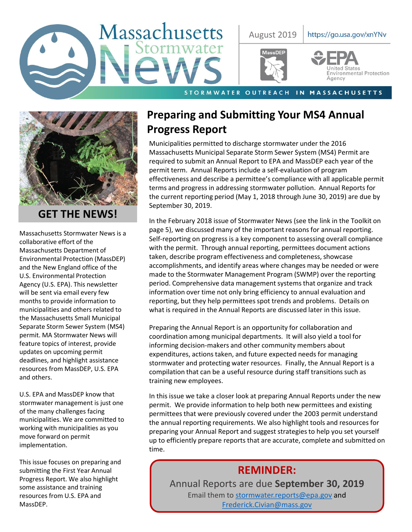



## **GET THE NEWS!**

Massachusetts Stormwater News is a collaborative effort of the Massachusetts Department of Environmental Protection (MassDEP) and the New England office of the U.S. Environmental Protection Agency (U.S. EPA). This newsletter will be sent via email every few months to provide information to municipalities and others related to the Massachusetts Small Municipal Separate Storm Sewer System (MS4) permit. MA Stormwater News will feature topics of interest, provide updates on upcoming permit deadlines, and highlight assistance resources from MassDEP, U.S. EPA and others.

U.S. EPA and MassDEP know that stormwater management is just one of the many challenges facing municipalities. We are committed to working with municipalities as you move forward on permit implementation.

This issue focuses on preparing and submitting the First Year Annual Progress Report. We also highlight some assistance and training resources from U.S. EPA and MassDEP.

# **Preparing and Submitting Your MS4 Annual Progress Report**

Municipalities permitted to discharge stormwater under the 2016 Massachusetts Municipal Separate Storm Sewer System (MS4) Permit are required to submit an Annual Report to EPA and MassDEP each year of the permit term. Annual Reports include a self-evaluation of program effectiveness and describe a permittee's compliance with all applicable permit terms and progress in addressing stormwater pollution. Annual Reports for the current reporting period (May 1, 2018 through June 30, 2019) are due by September 30, 2019.

In the February 2018 issue of Stormwater News (see the link in the Toolkit on page 5), we discussed many of the important reasons for annual reporting. Self-reporting on progress is a key component to assessing overall compliance with the permit. Through annual reporting, permittees document actions taken, describe program effectiveness and completeness, showcase accomplishments, and identify areas where changes may be needed or were made to the Stormwater Management Program (SWMP) over the reporting period. Comprehensive data management systems that organize and track information over time not only bring efficiency to annual evaluation and reporting, but they help permittees spot trends and problems. Details on what is required in the Annual Reports are discussed later in this issue.

Preparing the Annual Report is an opportunity for collaboration and coordination among municipal departments. It will also yield a tool for informing decision-makers and other community members about expenditures, actions taken, and future expected needs for managing stormwater and protecting water resources. Finally, the Annual Report is a compilation that can be a useful resource during staff transitions such as training new employees.

In this issue we take a closer look at preparing Annual Reports under the new permit. We provide information to help both new permittees and existing permittees that were previously covered under the 2003 permit understand the annual reporting requirements. We also highlight tools and resources for preparing your Annual Report and suggest strategies to help you set yourself up to efficiently prepare reports that are accurate, complete and submitted on time.

# **REMINDER:**

Annual Reports are due **September 30, 2019** Email them to [stormwater.reports@epa.gov](mailto:stormwater.reports@epa.gov) and [Frederick.Civian@mass.gov](mailto:Frederick.Civian@mass.gov)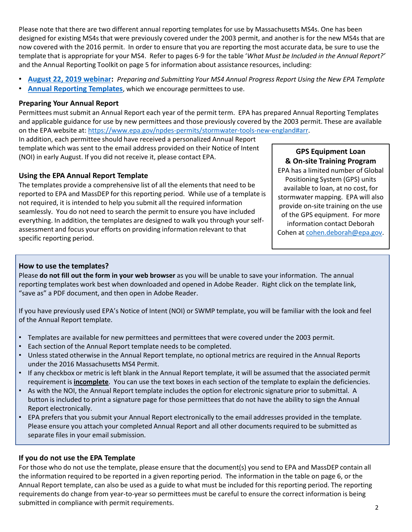Please note that there are two different annual reporting templates for use by Massachusetts MS4s. One has been designed for existing MS4s that were previously covered under the 2003 permit, and another is for the new MS4s that are now covered with the 2016 permit. In order to ensure that you are reporting the most accurate data, be sure to use the template that is appropriate for your MS4. Refer to pages 6-9 for the table '*What Must be Included in the Annual Report?'*  and the Annual Reporting Toolkit on page 5 for information about assistance resources, including:

- **[August 22, 2019 webinar:](https://register.gotowebinar.com/register/2840203860450621954)** *Preparing and Submitting Your MS4 Annual Progress Report Using the New EPA Template*
- **[Annual Reporting Templates](https://www.epa.gov/npdes-permits/stormwater-tools-new-england#arr)**, which we encourage permittees to use.

#### **Preparing Your Annual Report**

Permittees must submit an Annual Report each year of the permit term. EPA has prepared Annual Reporting Templates and applicable guidance for use by new permittees and those previously covered by the 2003 permit. These are available on the EPA website at:<https://www.epa.gov/npdes-permits/stormwater-tools-new-england#arr>.

In addition, each permittee should have received a personalized Annual Report template which was sent to the email address provided on their Notice of Intent (NOI) in early August. If you did not receive it, please contact EPA.

### **Using the EPA Annual Report Template**

The templates provide a comprehensive list of all the elements that need to be reported to EPA and MassDEP for this reporting period. While use of a template is not required, it is intended to help you submit all the required information seamlessly. You do not need to search the permit to ensure you have included everything. In addition, the templates are designed to walk you through your selfassessment and focus your efforts on providing information relevant to that specific reporting period.

## **GPS Equipment Loan & On-site Training Program**

EPA has a limited number of Global Positioning System (GPS) units available to loan, at no cost, for stormwater mapping. EPA will also provide on-site training on the use of the GPS equipment. For more information contact Deborah Cohen at [cohen.deborah@epa.gov](mailto:cohen.deborah@epa.gov).

## **How to use the templates?**

Please **do not fill out the form in your web browser** as you will be unable to save your information. The annual reporting templates work best when downloaded and opened in Adobe Reader. Right click on the template link, "save as" a PDF document, and then open in Adobe Reader.

If you have previously used EPA's Notice of Intent (NOI) or SWMP template, you will be familiar with the look and feel of the Annual Report template.

- Templates are available for new permittees and permittees that were covered under the 2003 permit.
- Each section of the Annual Report template needs to be completed.
- Unless stated otherwise in the Annual Report template, no optional metrics are required in the Annual Reports under the 2016 Massachusetts MS4 Permit.
- If any checkbox or metric is left blank in the Annual Report template, it will be assumed that the associated permit requirement is **incomplete**. You can use the text boxes in each section of the template to explain the deficiencies.
- As with the NOI, the Annual Report template includes the option for electronic signature prior to submittal. A button is included to print a signature page for those permittees that do not have the ability to sign the Annual Report electronically.
- EPA prefers that you submit your Annual Report electronically to the email addresses provided in the template. Please ensure you attach your completed Annual Report and all other documents required to be submitted as separate files in your email submission.

## **If you do not use the EPA Template**

For those who do not use the template, please ensure that the document(s) you send to EPA and MassDEP contain all the information required to be reported in a given reporting period. The information in the table on page 6, or the Annual Report template, can also be used as a guide to what must be included for this reporting period. The reporting requirements do change from year-to-year so permittees must be careful to ensure the correct information is being submitted in compliance with permit requirements.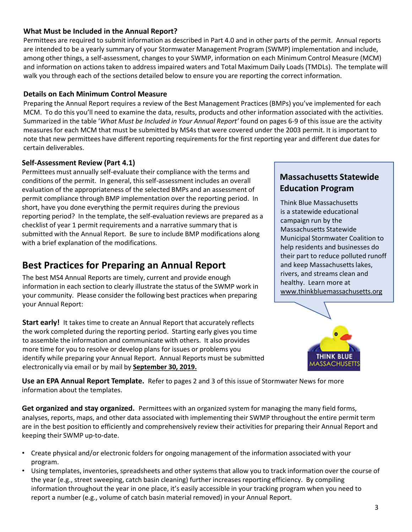Permittees are required to submit information as described in Part 4.0 and in other parts of the permit. Annual reports are intended to be a yearly summary of your Stormwater Management Program (SWMP) implementation and include, among other things, a self-assessment, changes to your SWMP, information on each Minimum Control Measure (MCM) and information on actions taken to address impaired waters and Total Maximum Daily Loads (TMDLs). The template will walk you through each of the sections detailed below to ensure you are reporting the correct information.

### **Details on Each Minimum Control Measure**

Preparing the Annual Report requires a review of the Best Management Practices (BMPs) you've implemented for each MCM. To do this you'll need to examine the data, results, products and other information associated with the activities. Summarized in the table '*What Must be Included in Your Annual Report'* found on pages 6-9 of this issue are the activity measures for each MCM that must be submitted by MS4s that were covered under the 2003 permit. It is important to note that new permittees have different reporting requirements for the first reporting year and different due dates for certain deliverables.

### **Self-Assessment Review (Part 4.1)**

Permittees must annually self-evaluate their compliance with the terms and conditions of the permit. In general, this self-assessment includes an overall evaluation of the appropriateness of the selected BMPs and an assessment of permit compliance through BMP implementation over the reporting period. In short, have you done everything the permit requires during the previous reporting period? In the template, the self-evaluation reviews are prepared as a checklist of year 1 permit requirements and a narrative summary that is submitted with the Annual Report. Be sure to include BMP modifications along with a brief explanation of the modifications.

## **Best Practices for Preparing an Annual Report**

The best MS4 Annual Reports are timely, current and provide enough information in each section to clearly illustrate the status of the SWMP work in your community. Please consider the following best practices when preparing your Annual Report:

**Start early!** It takes time to create an Annual Report that accurately reflects the work completed during the reporting period. Starting early gives you time to assemble the information and communicate with others. It also provides more time for you to resolve or develop plans for issues or problems you identify while preparing your Annual Report. Annual Reports must be submitted electronically via email or by mail by **September 30, 2019.** 

## **Massachusetts Statewide Education Program**

Think Blue Massachusetts is a statewide educational campaign run by the Massachusetts Statewide Municipal Stormwater Coalition to help residents and businesses do their part to reduce polluted runoff and keep Massachusetts lakes, rivers, and streams clean and healthy. Learn more at [www.thinkbluemassachusetts.org](http://www.thinkbluemassachusetts.org/)



**Use an EPA Annual Report Template.** Refer to pages 2 and 3 of this issue of Stormwater News for more information about the templates.

Get organized and stay organized. Permittees with an organized system for managing the many field forms, analyses, reports, maps, and other data associated with implementing their SWMP throughout the entire permit term are in the best position to efficiently and comprehensively review their activities for preparing their Annual Report and keeping their SWMP up-to-date.

- Create physical and/or electronic folders for ongoing management of the information associated with your program.
- Using templates, inventories, spreadsheets and other systems that allow you to track information over the course of the year (e.g., street sweeping, catch basin cleaning) further increases reporting efficiency. By compiling information throughout the year in one place, it's easily accessible in your tracking program when you need to report a number (e.g., volume of catch basin material removed) in your Annual Report.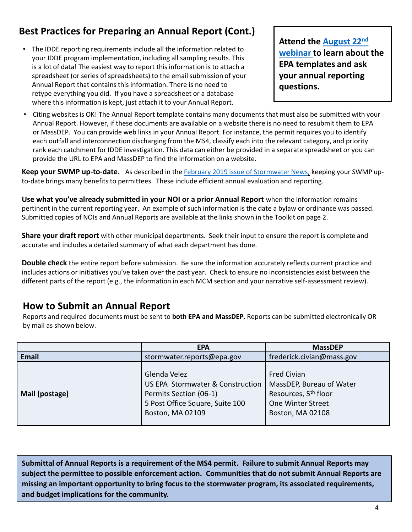# **Best Practices for Preparing an Annual Report (Cont.)**

• The IDDE reporting requirements include all the information related to your IDDE program implementation, including all sampling results. This is a lot of data! The easiest way to report this information is to attach a spreadsheet (or series of spreadsheets) to the email submission of your Annual Report that contains this information. There is no need to retype everything you did. If you have a spreadsheet or a database where this information is kept, just attach it to your Annual Report.

**[Attend the August 22](https://register.gotowebinar.com/register/2840203860450621954)nd webinar to learn about the EPA templates and ask your annual reporting questions.** 

• Citing websites is OK! The Annual Report template contains many documents that must also be submitted with your Annual Report. However, if these documents are available on a website there is no need to resubmit them to EPA or MassDEP. You can provide web links in your Annual Report. For instance, the permit requires you to identify each outfall and interconnection discharging from the MS4, classify each into the relevant category, and priority rank each catchment for IDDE investigation. This data can either be provided in a separate spreadsheet or you can provide the URL to EPA and MassDEP to find the information on a website.

**Keep your SWMP up-to-date.** As described in the [February 2019 issue of Stormwater News,](https://www3.epa.gov/region1/npdes/stormwater/ma/ma-stormwater-news-feb-2019.pdf) keeping your SWMP upto-date brings many benefits to permittees. These include efficient annual evaluation and reporting.

**Use what you've already submitted in your NOI or a prior Annual Report** when the information remains pertinent in the current reporting year. An example of such information is the date a bylaw or ordinance was passed. Submitted copies of NOIs and Annual Reports are available at the links shown in the Toolkit on page 2.

**Share your draft report** with other municipal departments. Seek their input to ensure the report is complete and accurate and includes a detailed summary of what each department has done.

**Double check** the entire report before submission. Be sure the information accurately reflects current practice and includes actions or initiatives you've taken over the past year. Check to ensure no inconsistencies exist between the different parts of the report (e.g., the information in each MCM section and your narrative self-assessment review).

## **How to Submit an Annual Report**

Reports and required documents must be sent to **both EPA and MassDEP**. Reports can be submitted electronically OR by mail as shown below.

|                | <b>EPA</b>                                                                                                                        | <b>MassDEP</b>                                                                                                              |
|----------------|-----------------------------------------------------------------------------------------------------------------------------------|-----------------------------------------------------------------------------------------------------------------------------|
| Email          | stormwater.reports@epa.gov                                                                                                        | frederick.civian@mass.gov                                                                                                   |
| Mail (postage) | Glenda Velez<br>US EPA Stormwater & Construction<br>Permits Section (06-1)<br>5 Post Office Square, Suite 100<br>Boston, MA 02109 | <b>Fred Civian</b><br>MassDEP, Bureau of Water<br>Resources, 5 <sup>th</sup> floor<br>One Winter Street<br>Boston, MA 02108 |

**Submittal of Annual Reports is a requirement of the MS4 permit. Failure to submit Annual Reports may subject the permittee to possible enforcement action. Communities that do not submit Annual Reports are missing an important opportunity to bring focus to the stormwater program, its associated requirements, and budget implications for the community.**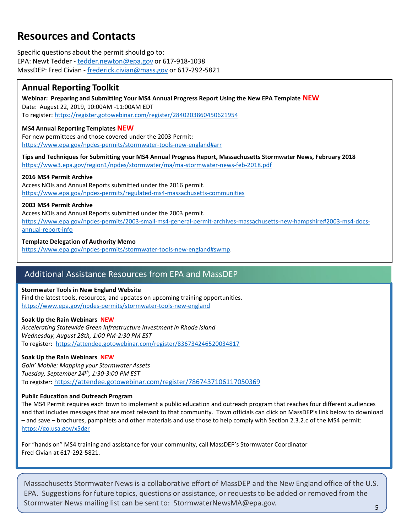# **Resources and Contacts**

Specific questions about the permit should go to: EPA: Newt Tedder - [tedder.newton@epa.gov](mailto:tedder.newton@epa.gov) or 617-918-1038 MassDEP: Fred Civian - [frederick.civian@mass.gov](mailto:frederick.civian@state.ma.us) or 617-292-5821

## **Annual Reporting Toolkit**

**Webinar: Preparing and Submitting Your MS4 Annual Progress Report Using the New EPA Template NEW** Date: August 22, 2019, 10:00AM -11:00AM EDT To register: <https://register.gotowebinar.com/register/2840203860450621954>

#### **MS4 Annual Reporting Templates NEW**

For new permittees and those covered under the 2003 Permit: <https://www.epa.gov/npdes-permits/stormwater-tools-new-england#arr>

**Tips and Techniques for Submitting your MS4 Annual Progress Report, Massachusetts Stormwater News, February 2018**  <https://www3.epa.gov/region1/npdes/stormwater/ma/ma-stormwater-news-feb-2018.pdf>

#### **2016 MS4 Permit Archive**

Access NOIs and Annual Reports submitted under the 2016 permit. <https://www.epa.gov/npdes-permits/regulated-ms4-massachusetts-communities>

#### **2003 MS4 Permit Archive**

Access NOIs and Annual Reports submitted under the 2003 permit. [https://www.epa.gov/npdes-permits/2003-small-ms4-general-permit-archives-massachusetts-new-hampshire#2003-ms4-docs](https://www.epa.gov/npdes-permits/2003-small-ms4-general-permit-archives-massachusetts-new-hampshire#2003-ms4-docs-annual-report-info)annual-report-info

#### **Template Delegation of Authority Memo**

[https://www.epa.gov/npdes-permits/stormwater-tools-new-england#swmp](https://www.epa.gov/npdes-permits/stormwater-tools-new-england).

## Additional Assistance Resources from EPA and MassDEP

#### **Stormwater Tools in New England Website**

Find the latest tools, resources, and updates on upcoming training opportunities. <https://www.epa.gov/npdes-permits/stormwater-tools-new-england>

#### **Soak Up the Rain Webinars NEW**

*Accelerating Statewide Green Infrastructure Investment in Rhode Island Wednesday, August 28th, 1:00 PM-2:30 PM EST*  To register: <https://attendee.gotowebinar.com/register/836734246520034817>

#### **Soak Up the Rain Webinars NEW**

*Goin' Mobile: Mapping your Stormwater Assets Tuesday, September 24th, 1:30-3:00 PM EST* To register: <https://attendee.gotowebinar.com/register/7867437106117050369>

#### **Public Education and Outreach Program**

The MS4 Permit requires each town to implement a public education and outreach program that reaches four different audiences and that includes messages that are most relevant to that community. Town officials can click on MassDEP's link below to download – and save – brochures, pamphlets and other materials and use those to help comply with Section 2.3.2.c of the MS4 permit: <https://go.usa.gov/x5dgr>

For "hands on" MS4 training and assistance for your community, call MassDEP's Stormwater Coordinator Fred Civian at 617-292-5821.

Massachusetts Stormwater News is a collaborative effort of MassDEP and the New England office of the U.S. EPA. Suggestions for future topics, questions or assistance, or requests to be added or removed from the Stormwater News mailing list can be sent to: StormwaterNewsMA@epa.gov. 5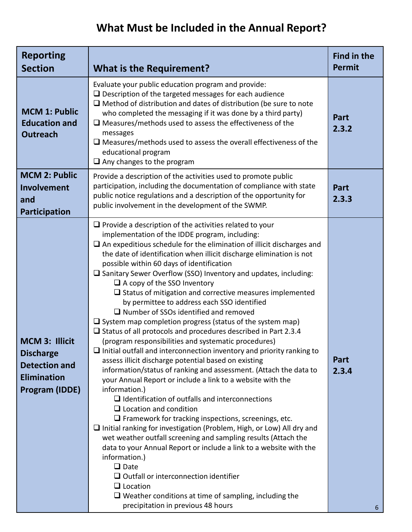| <b>Reporting</b><br><b>Section</b>                                                                               | <b>What is the Requirement?</b>                                                                                                                                                                                                                                                                                                                                                                                                                                                                                                                                                                                                                                                                                                                                                                                                                                                                                                                                                                                                                                                                                                                                                                                                                                                                                                                                                                                                                                                                                                                                                                                                                                                                        | <b>Find in the</b><br><b>Permit</b> |
|------------------------------------------------------------------------------------------------------------------|--------------------------------------------------------------------------------------------------------------------------------------------------------------------------------------------------------------------------------------------------------------------------------------------------------------------------------------------------------------------------------------------------------------------------------------------------------------------------------------------------------------------------------------------------------------------------------------------------------------------------------------------------------------------------------------------------------------------------------------------------------------------------------------------------------------------------------------------------------------------------------------------------------------------------------------------------------------------------------------------------------------------------------------------------------------------------------------------------------------------------------------------------------------------------------------------------------------------------------------------------------------------------------------------------------------------------------------------------------------------------------------------------------------------------------------------------------------------------------------------------------------------------------------------------------------------------------------------------------------------------------------------------------------------------------------------------------|-------------------------------------|
| <b>MCM 1: Public</b><br><b>Education and</b><br><b>Outreach</b>                                                  | Evaluate your public education program and provide:<br>$\Box$ Description of the targeted messages for each audience<br>$\Box$ Method of distribution and dates of distribution (be sure to note<br>who completed the messaging if it was done by a third party)<br>$\Box$ Measures/methods used to assess the effectiveness of the<br>messages<br>$\Box$ Measures/methods used to assess the overall effectiveness of the<br>educational program<br>$\Box$ Any changes to the program                                                                                                                                                                                                                                                                                                                                                                                                                                                                                                                                                                                                                                                                                                                                                                                                                                                                                                                                                                                                                                                                                                                                                                                                                 | Part<br>2.3.2                       |
| <b>MCM 2: Public</b><br>Involvement<br>and<br>Participation                                                      | Provide a description of the activities used to promote public<br>participation, including the documentation of compliance with state<br>public notice regulations and a description of the opportunity for<br>public involvement in the development of the SWMP.                                                                                                                                                                                                                                                                                                                                                                                                                                                                                                                                                                                                                                                                                                                                                                                                                                                                                                                                                                                                                                                                                                                                                                                                                                                                                                                                                                                                                                      | Part<br>2.3.3                       |
| <b>MCM 3: Illicit</b><br><b>Discharge</b><br><b>Detection and</b><br><b>Elimination</b><br><b>Program (IDDE)</b> | $\Box$ Provide a description of the activities related to your<br>implementation of the IDDE program, including:<br>$\Box$ An expeditious schedule for the elimination of illicit discharges and<br>the date of identification when illicit discharge elimination is not<br>possible within 60 days of identification<br>$\square$ Sanitary Sewer Overflow (SSO) Inventory and updates, including:<br>$\Box$ A copy of the SSO Inventory<br>$\Box$ Status of mitigation and corrective measures implemented<br>by permittee to address each SSO identified<br>$\Box$ Number of SSOs identified and removed<br>$\Box$ System map completion progress (status of the system map)<br>$\Box$ Status of all protocols and procedures described in Part 2.3.4<br>(program responsibilities and systematic procedures)<br>$\Box$ Initial outfall and interconnection inventory and priority ranking to<br>assess illicit discharge potential based on existing<br>information/status of ranking and assessment. (Attach the data to<br>your Annual Report or include a link to a website with the<br>information.)<br>$\Box$ Identification of outfalls and interconnections<br>$\Box$ Location and condition<br>$\Box$ Framework for tracking inspections, screenings, etc.<br>$\Box$ Initial ranking for investigation (Problem, High, or Low) All dry and<br>wet weather outfall screening and sampling results (Attach the<br>data to your Annual Report or include a link to a website with the<br>information.)<br>$\Box$ Date<br>$\Box$ Outfall or interconnection identifier<br>$\Box$ Location<br>$\Box$ Weather conditions at time of sampling, including the<br>precipitation in previous 48 hours | Part<br>2.3.4<br>6                  |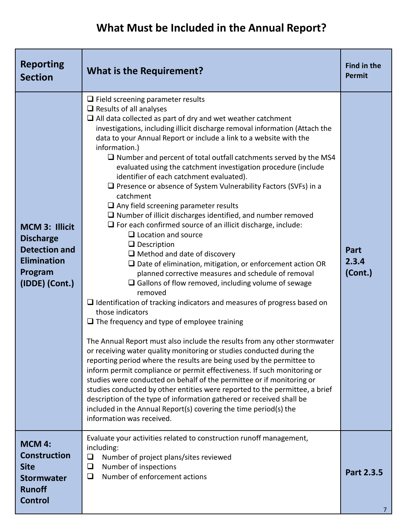| <b>Reporting</b><br><b>Section</b>                                                                                   | <b>What is the Requirement?</b>                                                                                                                                                                                                                                                                                                                                                                                                                                                                                                                                                                                                                                                                                                                                                                                                                                                                                                                                                                                                                                                                                                                                                                                                                                                                                                                                                                                                                                                                                                                                                                                                                                                                                                                                                                                                                                                                             | Find in the<br>Permit    |
|----------------------------------------------------------------------------------------------------------------------|-------------------------------------------------------------------------------------------------------------------------------------------------------------------------------------------------------------------------------------------------------------------------------------------------------------------------------------------------------------------------------------------------------------------------------------------------------------------------------------------------------------------------------------------------------------------------------------------------------------------------------------------------------------------------------------------------------------------------------------------------------------------------------------------------------------------------------------------------------------------------------------------------------------------------------------------------------------------------------------------------------------------------------------------------------------------------------------------------------------------------------------------------------------------------------------------------------------------------------------------------------------------------------------------------------------------------------------------------------------------------------------------------------------------------------------------------------------------------------------------------------------------------------------------------------------------------------------------------------------------------------------------------------------------------------------------------------------------------------------------------------------------------------------------------------------------------------------------------------------------------------------------------------------|--------------------------|
| <b>MCM 3: Illicit</b><br><b>Discharge</b><br><b>Detection and</b><br><b>Elimination</b><br>Program<br>(IDDE) (Cont.) | $\Box$ Field screening parameter results<br>$\Box$ Results of all analyses<br>$\Box$ All data collected as part of dry and wet weather catchment<br>investigations, including illicit discharge removal information (Attach the<br>data to your Annual Report or include a link to a website with the<br>information.)<br>$\Box$ Number and percent of total outfall catchments served by the MS4<br>evaluated using the catchment investigation procedure (include<br>identifier of each catchment evaluated).<br>$\Box$ Presence or absence of System Vulnerability Factors (SVFs) in a<br>catchment<br>$\Box$ Any field screening parameter results<br>$\Box$ Number of illicit discharges identified, and number removed<br>$\Box$ For each confirmed source of an illicit discharge, include:<br>$\Box$ Location and source<br>$\Box$ Description<br>$\Box$ Method and date of discovery<br>$\square$ Date of elimination, mitigation, or enforcement action OR<br>planned corrective measures and schedule of removal<br>$\Box$ Gallons of flow removed, including volume of sewage<br>removed<br>$\Box$ Identification of tracking indicators and measures of progress based on<br>those indicators<br>$\Box$ The frequency and type of employee training<br>The Annual Report must also include the results from any other stormwater<br>or receiving water quality monitoring or studies conducted during the<br>reporting period where the results are being used by the permittee to<br>inform permit compliance or permit effectiveness. If such monitoring or<br>studies were conducted on behalf of the permittee or if monitoring or<br>studies conducted by other entities were reported to the permittee, a brief<br>description of the type of information gathered or received shall be<br>included in the Annual Report(s) covering the time period(s) the<br>information was received. | Part<br>2.3.4<br>(Cont.) |
| <b>MCM 4:</b><br><b>Construction</b><br><b>Site</b><br><b>Stormwater</b><br><b>Runoff</b><br><b>Control</b>          | Evaluate your activities related to construction runoff management,<br>including:<br>Number of project plans/sites reviewed<br>$\Box$<br>Number of inspections<br>$\Box$<br>Number of enforcement actions<br>$\Box$                                                                                                                                                                                                                                                                                                                                                                                                                                                                                                                                                                                                                                                                                                                                                                                                                                                                                                                                                                                                                                                                                                                                                                                                                                                                                                                                                                                                                                                                                                                                                                                                                                                                                         | Part 2.3.5               |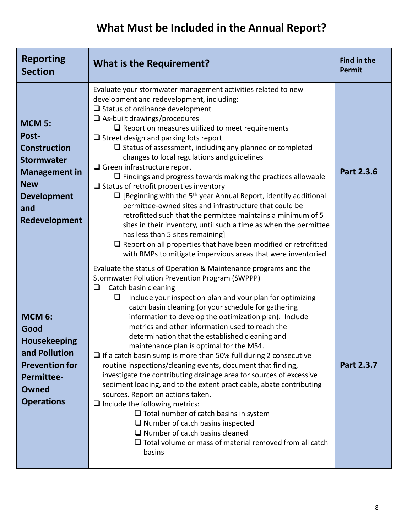| <b>Reporting</b><br><b>Section</b>                                                                                                                     | <b>What is the Requirement?</b>                                                                                                                                                                                                                                                                                                                                                                                                                                                                                                                                                                                                                                                                                                                                                                                                                                                                                                                                                                                                                                              | <b>Find in the</b><br>Permit |
|--------------------------------------------------------------------------------------------------------------------------------------------------------|------------------------------------------------------------------------------------------------------------------------------------------------------------------------------------------------------------------------------------------------------------------------------------------------------------------------------------------------------------------------------------------------------------------------------------------------------------------------------------------------------------------------------------------------------------------------------------------------------------------------------------------------------------------------------------------------------------------------------------------------------------------------------------------------------------------------------------------------------------------------------------------------------------------------------------------------------------------------------------------------------------------------------------------------------------------------------|------------------------------|
| <b>MCM 5:</b><br>Post-<br><b>Construction</b><br><b>Stormwater</b><br><b>Management in</b><br><b>New</b><br><b>Development</b><br>and<br>Redevelopment | Evaluate your stormwater management activities related to new<br>development and redevelopment, including:<br>$\Box$ Status of ordinance development<br>$\Box$ As-built drawings/procedures<br>$\Box$ Report on measures utilized to meet requirements<br>$\Box$ Street design and parking lots report<br>$\Box$ Status of assessment, including any planned or completed<br>changes to local regulations and guidelines<br>$\Box$ Green infrastructure report<br>$\Box$ Findings and progress towards making the practices allowable<br>$\Box$ Status of retrofit properties inventory<br>$\Box$ [Beginning with the 5 <sup>th</sup> year Annual Report, identify additional<br>permittee-owned sites and infrastructure that could be<br>retrofitted such that the permittee maintains a minimum of 5<br>sites in their inventory, until such a time as when the permittee<br>has less than 5 sites remaining]<br>$\square$ Report on all properties that have been modified or retrofitted<br>with BMPs to mitigate impervious areas that were inventoried                | Part 2.3.6                   |
| <b>MCM 6:</b><br>Good<br><b>Housekeeping</b><br>and Pollution<br><b>Prevention for</b><br><b>Permittee-</b><br>Owned<br><b>Operations</b>              | Evaluate the status of Operation & Maintenance programs and the<br>Stormwater Pollution Prevention Program (SWPPP)<br>Catch basin cleaning<br>❏<br>❏<br>Include your inspection plan and your plan for optimizing<br>catch basin cleaning (or your schedule for gathering<br>information to develop the optimization plan). Include<br>metrics and other information used to reach the<br>determination that the established cleaning and<br>maintenance plan is optimal for the MS4.<br>$\Box$ If a catch basin sump is more than 50% full during 2 consecutive<br>routine inspections/cleaning events, document that finding,<br>investigate the contributing drainage area for sources of excessive<br>sediment loading, and to the extent practicable, abate contributing<br>sources. Report on actions taken.<br>$\Box$ Include the following metrics:<br>$\Box$ Total number of catch basins in system<br>$\Box$ Number of catch basins inspected<br>$\Box$ Number of catch basins cleaned<br>$\Box$ Total volume or mass of material removed from all catch<br>basins | Part 2.3.7                   |